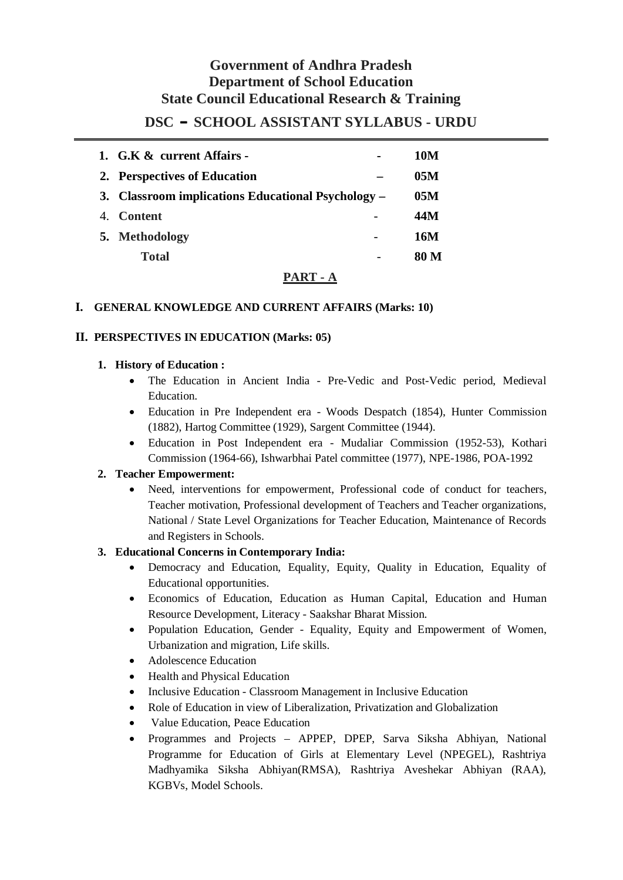# **Government of Andhra Pradesh Department of School Education State Council Educational Research & Training**

## **DSC** - SCHOOL ASSISTANT SYLLABUS - URDU

| 1. G.K & current Affairs -                         | 10M  |
|----------------------------------------------------|------|
| 2. Perspectives of Education                       | 05M  |
| 3. Classroom implications Educational Psychology – | 05M  |
| 4. Content                                         | 44M  |
| 5. Methodology                                     | 16M  |
| <b>Total</b>                                       | 80 M |

### **PART - A**

#### **I. GENERAL KNOWLEDGE AND CURRENT AFFAIRS (Marks: 10)**

#### **II. PERSPECTIVES IN EDUCATION (Marks: 05)**

#### **1. History of Education :**

- The Education in Ancient India Pre-Vedic and Post-Vedic period, Medieval Education.
- Education in Pre Independent era Woods Despatch (1854), Hunter Commission (1882), Hartog Committee (1929), Sargent Committee (1944).
- x Education in Post Independent era Mudaliar Commission (1952-53), Kothari Commission (1964-66), Ishwarbhai Patel committee (1977), NPE-1986, POA-1992

#### **2. Teacher Empowerment:**

• Need, interventions for empowerment, Professional code of conduct for teachers, Teacher motivation, Professional development of Teachers and Teacher organizations, National / State Level Organizations for Teacher Education, Maintenance of Records and Registers in Schools.

#### **3. Educational Concerns in Contemporary India:**

- Democracy and Education, Equality, Equity, Quality in Education, Equality of Educational opportunities.
- x Economics of Education, Education as Human Capital, Education and Human Resource Development, Literacy - Saakshar Bharat Mission.
- Population Education, Gender Equality, Equity and Empowerment of Women, Urbanization and migration, Life skills.
- Adolescence Education
- Health and Physical Education
- Inclusive Education Classroom Management in Inclusive Education
- Role of Education in view of Liberalization, Privatization and Globalization
- Value Education, Peace Education
- Programmes and Projects APPEP, DPEP, Sarva Siksha Abhiyan, National Programme for Education of Girls at Elementary Level (NPEGEL), Rashtriya Madhyamika Siksha Abhiyan(RMSA), Rashtriya Aveshekar Abhiyan (RAA), KGBVs, Model Schools.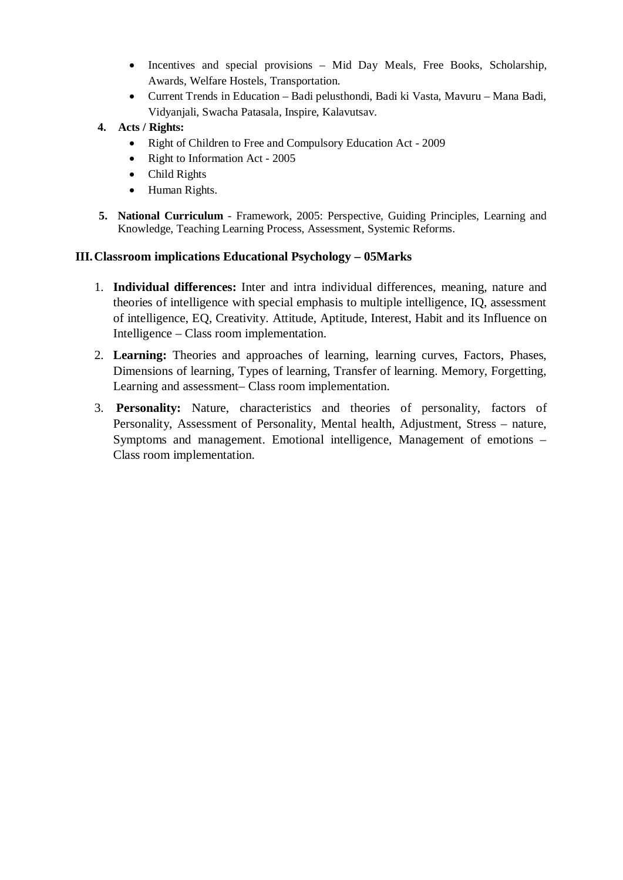- Incentives and special provisions Mid Day Meals, Free Books, Scholarship, Awards, Welfare Hostels, Transportation.
- x Current Trends in Education Badi pelusthondi, Badi ki Vasta, Mavuru Mana Badi, Vidyanjali, Swacha Patasala, Inspire, Kalavutsav.
- **4. Acts / Rights:** 
	- Right of Children to Free and Compulsory Education Act 2009
	- $\bullet$  Right to Information Act 2005
	- $\bullet$  Child Rights
	- $\bullet$  Human Rights.
- **5. National Curriculum** Framework, 2005: Perspective, Guiding Principles, Learning and Knowledge, Teaching Learning Process, Assessment, Systemic Reforms.

### **III.Classroom implications Educational Psychology – 05Marks**

- 1. **Individual differences:** Inter and intra individual differences, meaning, nature and theories of intelligence with special emphasis to multiple intelligence, IQ, assessment of intelligence, EQ, Creativity. Attitude, Aptitude, Interest, Habit and its Influence on Intelligence – Class room implementation.
- 2. **Learning:** Theories and approaches of learning, learning curves, Factors, Phases, Dimensions of learning, Types of learning, Transfer of learning. Memory, Forgetting, Learning and assessment– Class room implementation.
- 3. **Personality:** Nature, characteristics and theories of personality, factors of Personality, Assessment of Personality, Mental health, Adjustment, Stress – nature, Symptoms and management. Emotional intelligence, Management of emotions – Class room implementation.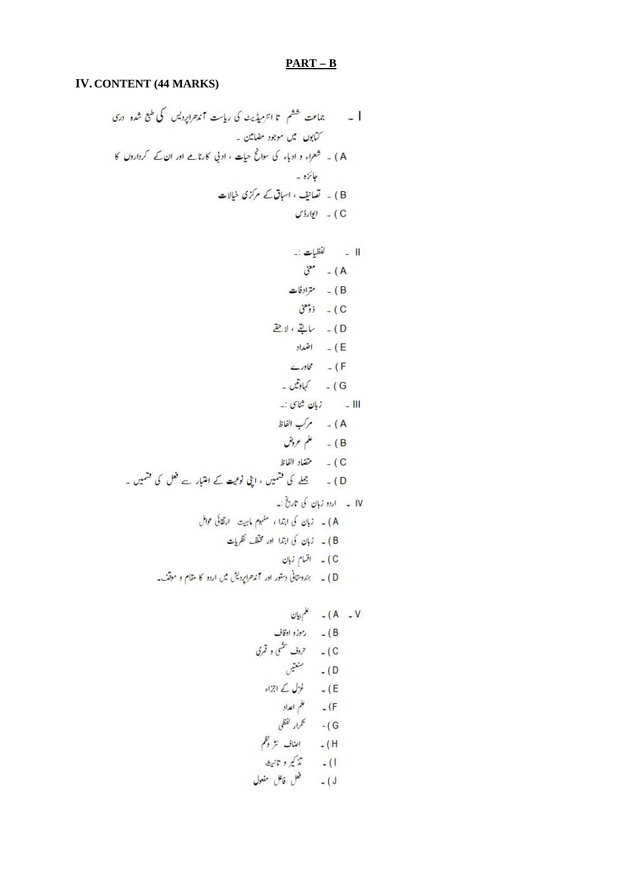#### **PART – B**

#### **IV. CONTENT (44 MARKS)**

۔<br>- کیابوں میں موجود مضامین <u>۔</u> A ) ۔ شعراء و ادباء کی سوانح حیات ، ادنی کارنامے اور ان کے گرداروں کا حائزہ ۔ B ) - تعانف ، اساق کے مرکزی خلالت  $U^{\frac{1}{2}}U^{\frac{1}{2}}=C$ ال لفظيات : \_  $\ddot{\mathcal{C}}^{\bullet} = (A$ B ) - مترادفات  $\mathfrak{c}^*$  ;  $\mathfrak{c}$  $20.21$  - 15 E ) - اضداد  $-$  کادرے  $F$ G ) ۔ کہاوتیں ۔ III - زب<mark>ان</mark> شای :-A ) - مركب الفاظ B) ۔ علم عروض C ) - متضاد الفاظ D) ۔ بھلے کی قشمیں ، ایٹی نوعیت کے اعتبار ہے فعل کی قشمیں ۔ ۔<br>۱۷ ۔ اردو زبان کی تاریخ :۔ B) - زبان کی ابتدا اور مخلف نظریات C ) - اقسام زبان D) \_ ہندوستانی دستور اور آندھراپردیش میں اردو کا مقام و موقف۔  $\frac{d}{dx}$  = (A - V B) \_ رموزو ادقاف D) - سنعتیں  $\sqrt{2!} \leq \sqrt[4]{r}$  (E علم اعداد  $-(F)$ G ) - عمرار لفظي ا) - تذکیر و تائیٹ ل)۔ فعل فاعل مفعول